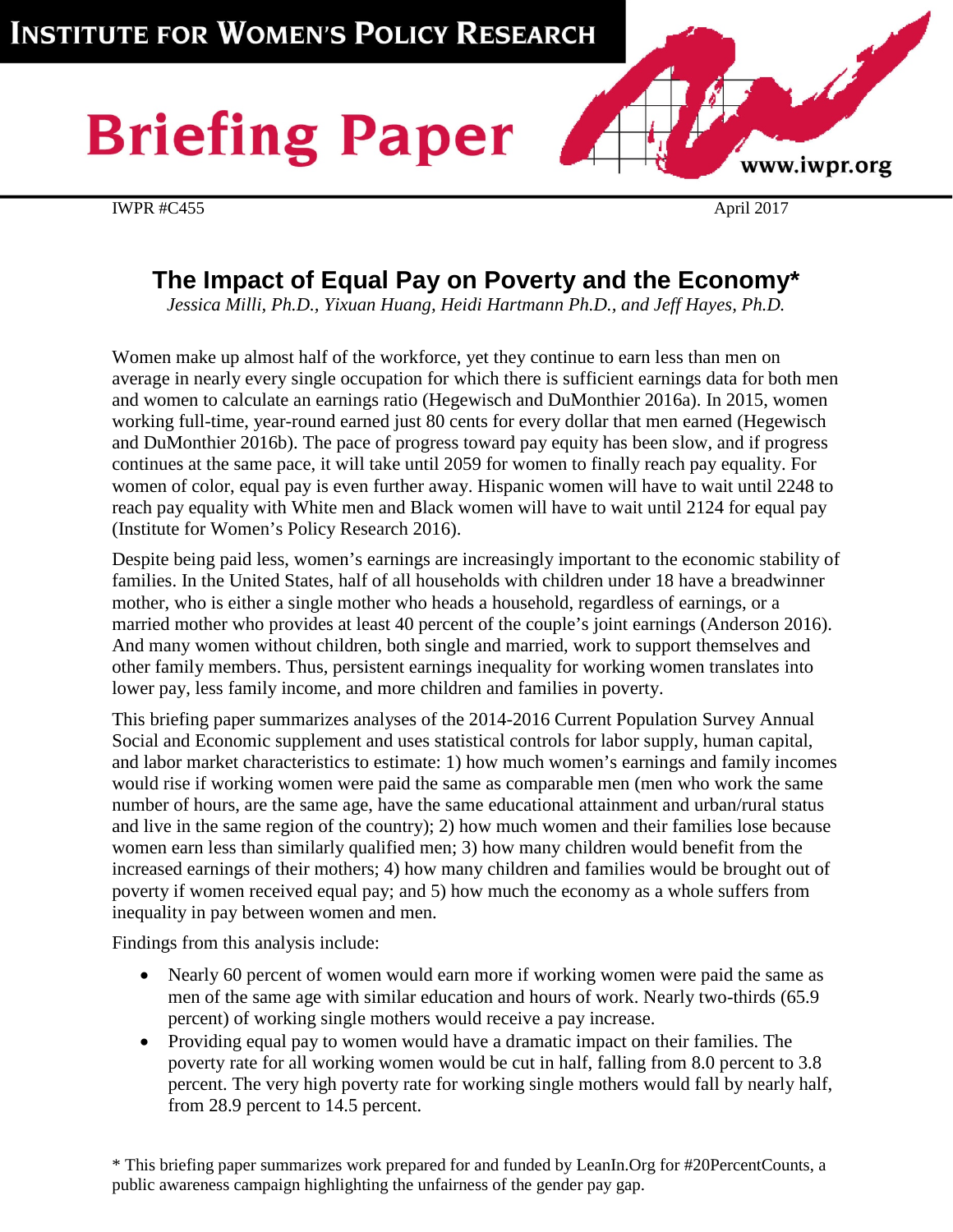# **Briefing Paper**





# **The Impact of Equal Pay on Poverty and the Economy\***

*Jessica Milli, Ph.D., Yixuan Huang, Heidi Hartmann Ph.D., and Jeff Hayes, Ph.D.*

Women make up almost half of the workforce, yet they continue to earn less than men on average in nearly every single occupation for which there is sufficient earnings data for both men and women to calculate an earnings ratio (Hegewisch and DuMonthier 2016a). In 2015, women working full-time, year-round earned just 80 cents for every dollar that men earned (Hegewisch and DuMonthier 2016b). The pace of progress toward pay equity has been slow, and if progress continues at the same pace, it will take until 2059 for women to finally reach pay equality. For women of color, equal pay is even further away. Hispanic women will have to wait until 2248 to reach pay equality with White men and Black women will have to wait until 2124 for equal pay (Institute for Women's Policy Research 2016).

Despite being paid less, women's earnings are increasingly important to the economic stability of families. In the United States, half of all households with children under 18 have a breadwinner mother, who is either a single mother who heads a household, regardless of earnings, or a married mother who provides at least 40 percent of the couple's joint earnings (Anderson 2016). And many women without children, both single and married, work to support themselves and other family members. Thus, persistent earnings inequality for working women translates into lower pay, less family income, and more children and families in poverty.

This briefing paper summarizes analyses of the 2014-2016 Current Population Survey Annual Social and Economic supplement and uses statistical controls for labor supply, human capital, and labor market characteristics to estimate: 1) how much women's earnings and family incomes would rise if working women were paid the same as comparable men (men who work the same number of hours, are the same age, have the same educational attainment and urban/rural status and live in the same region of the country); 2) how much women and their families lose because women earn less than similarly qualified men; 3) how many children would benefit from the increased earnings of their mothers; 4) how many children and families would be brought out of poverty if women received equal pay; and 5) how much the economy as a whole suffers from inequality in pay between women and men.

Findings from this analysis include:

- Nearly 60 percent of women would earn more if working women were paid the same as men of the same age with similar education and hours of work. Nearly two-thirds (65.9 percent) of working single mothers would receive a pay increase.
- Providing equal pay to women would have a dramatic impact on their families. The poverty rate for all working women would be cut in half, falling from 8.0 percent to 3.8 percent. The very high poverty rate for working single mothers would fall by nearly half, from 28.9 percent to 14.5 percent.

\* This briefing paper summarizes work prepared for and funded by LeanIn.Org for #20PercentCounts, a public awareness campaign highlighting the unfairness of the gender pay gap.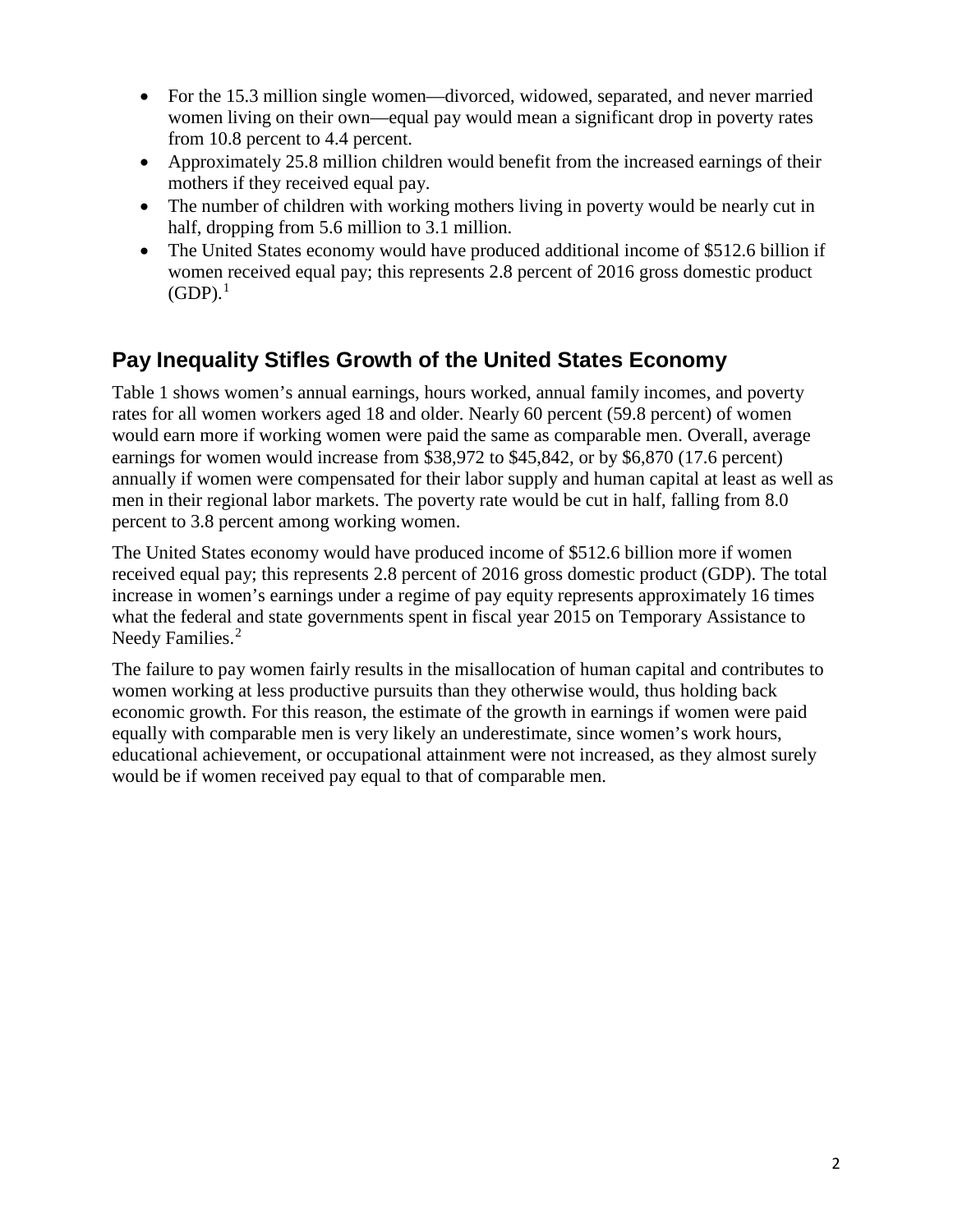- For the 15.3 million single women—divorced, widowed, separated, and never married women living on their own—equal pay would mean a significant drop in poverty rates from 10.8 percent to 4.4 percent.
- Approximately 25.8 million children would benefit from the increased earnings of their mothers if they received equal pay.
- The number of children with working mothers living in poverty would be nearly cut in half, dropping from 5.6 million to 3.1 million.
- The United States economy would have produced additional income of \$512.6 billion if women received equal pay; this represents 2.8 percent of 2016 gross domestic product  $(GDP).<sup>1</sup>$  $(GDP).<sup>1</sup>$  $(GDP).<sup>1</sup>$

# **Pay Inequality Stifles Growth of the United States Economy**

Table 1 shows women's annual earnings, hours worked, annual family incomes, and poverty rates for all women workers aged 18 and older. Nearly 60 percent (59.8 percent) of women would earn more if working women were paid the same as comparable men. Overall, average earnings for women would increase from \$38,972 to \$45,842, or by \$6,870 (17.6 percent) annually if women were compensated for their labor supply and human capital at least as well as men in their regional labor markets. The poverty rate would be cut in half, falling from 8.0 percent to 3.8 percent among working women.

The United States economy would have produced income of \$512.6 billion more if women received equal pay; this represents 2.8 percent of 2016 gross domestic product (GDP). The total increase in women's earnings under a regime of pay equity represents approximately 16 times what the federal and state governments spent in fiscal year 2015 on Temporary Assistance to Needy Families.<sup>[2](#page-6-1)</sup>

The failure to pay women fairly results in the misallocation of human capital and contributes to women working at less productive pursuits than they otherwise would, thus holding back economic growth. For this reason, the estimate of the growth in earnings if women were paid equally with comparable men is very likely an underestimate, since women's work hours, educational achievement, or occupational attainment were not increased, as they almost surely would be if women received pay equal to that of comparable men.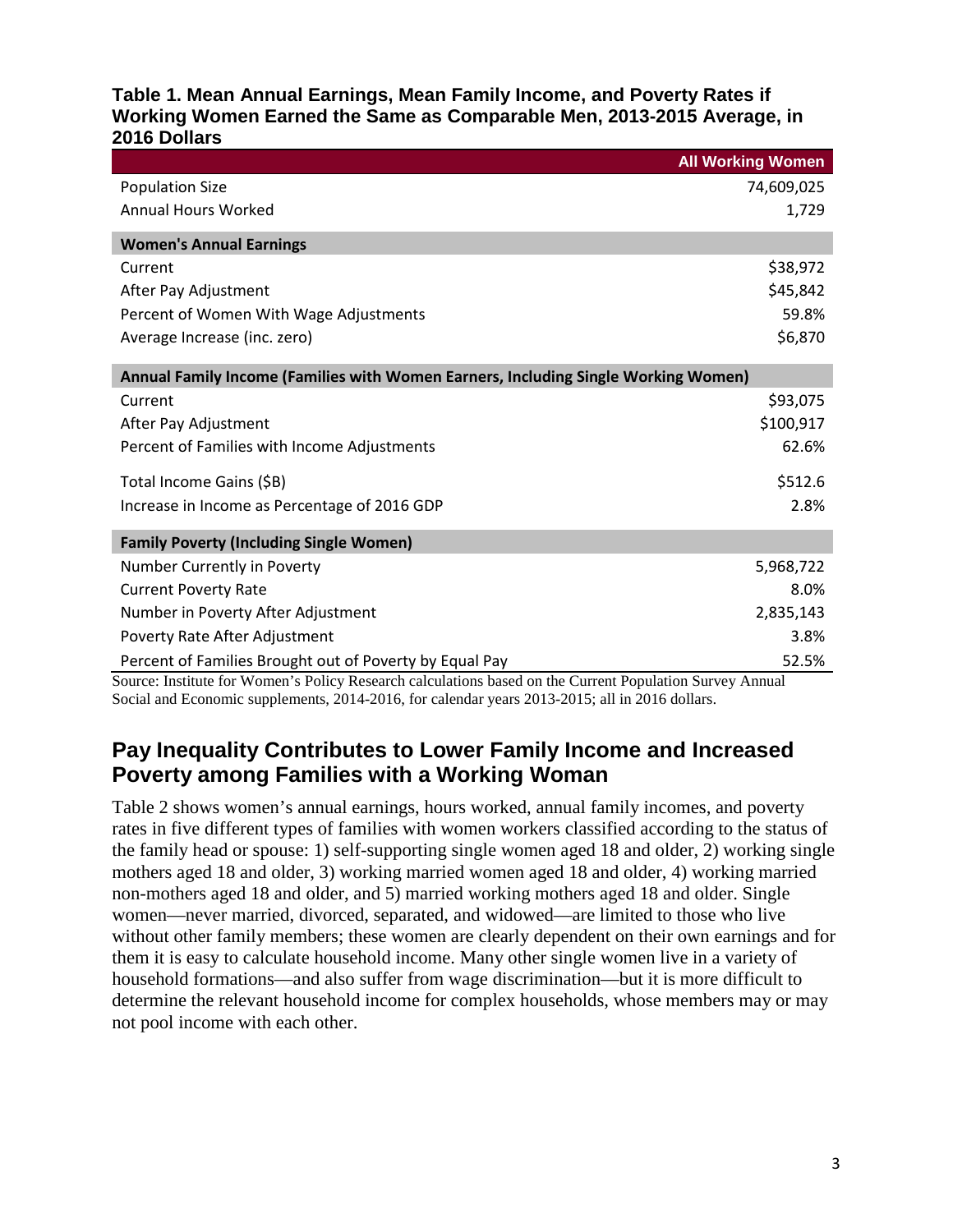#### **Table 1. Mean Annual Earnings, Mean Family Income, and Poverty Rates if Working Women Earned the Same as Comparable Men, 2013-2015 Average, in 2016 Dollars**

|                                                                                    | <b>All Working Women</b> |  |  |  |  |
|------------------------------------------------------------------------------------|--------------------------|--|--|--|--|
| <b>Population Size</b>                                                             | 74,609,025               |  |  |  |  |
| <b>Annual Hours Worked</b>                                                         | 1,729                    |  |  |  |  |
| <b>Women's Annual Earnings</b>                                                     |                          |  |  |  |  |
| Current                                                                            | \$38,972                 |  |  |  |  |
| After Pay Adjustment                                                               | \$45,842                 |  |  |  |  |
| Percent of Women With Wage Adjustments                                             | 59.8%                    |  |  |  |  |
| Average Increase (inc. zero)                                                       | \$6,870                  |  |  |  |  |
| Annual Family Income (Families with Women Earners, Including Single Working Women) |                          |  |  |  |  |
| Current                                                                            | \$93,075                 |  |  |  |  |
| After Pay Adjustment                                                               | \$100,917                |  |  |  |  |
| Percent of Families with Income Adjustments                                        | 62.6%                    |  |  |  |  |
| Total Income Gains (\$B)                                                           | \$512.6                  |  |  |  |  |
| Increase in Income as Percentage of 2016 GDP                                       | 2.8%                     |  |  |  |  |
| <b>Family Poverty (Including Single Women)</b>                                     |                          |  |  |  |  |
| Number Currently in Poverty                                                        | 5,968,722                |  |  |  |  |
| <b>Current Poverty Rate</b>                                                        | 8.0%                     |  |  |  |  |
| Number in Poverty After Adjustment                                                 | 2,835,143                |  |  |  |  |
| Poverty Rate After Adjustment                                                      | 3.8%                     |  |  |  |  |
| Percent of Families Brought out of Poverty by Equal Pay                            | 52.5%                    |  |  |  |  |

Source: Institute for Women's Policy Research calculations based on the Current Population Survey Annual Social and Economic supplements, 2014-2016, for calendar years 2013-2015; all in 2016 dollars.

# **Pay Inequality Contributes to Lower Family Income and Increased Poverty among Families with a Working Woman**

Table 2 shows women's annual earnings, hours worked, annual family incomes, and poverty rates in five different types of families with women workers classified according to the status of the family head or spouse: 1) self-supporting single women aged 18 and older, 2) working single mothers aged 18 and older, 3) working married women aged 18 and older, 4) working married non-mothers aged 18 and older, and 5) married working mothers aged 18 and older. Single women—never married, divorced, separated, and widowed—are limited to those who live without other family members; these women are clearly dependent on their own earnings and for them it is easy to calculate household income. Many other single women live in a variety of household formations—and also suffer from wage discrimination—but it is more difficult to determine the relevant household income for complex households, whose members may or may not pool income with each other.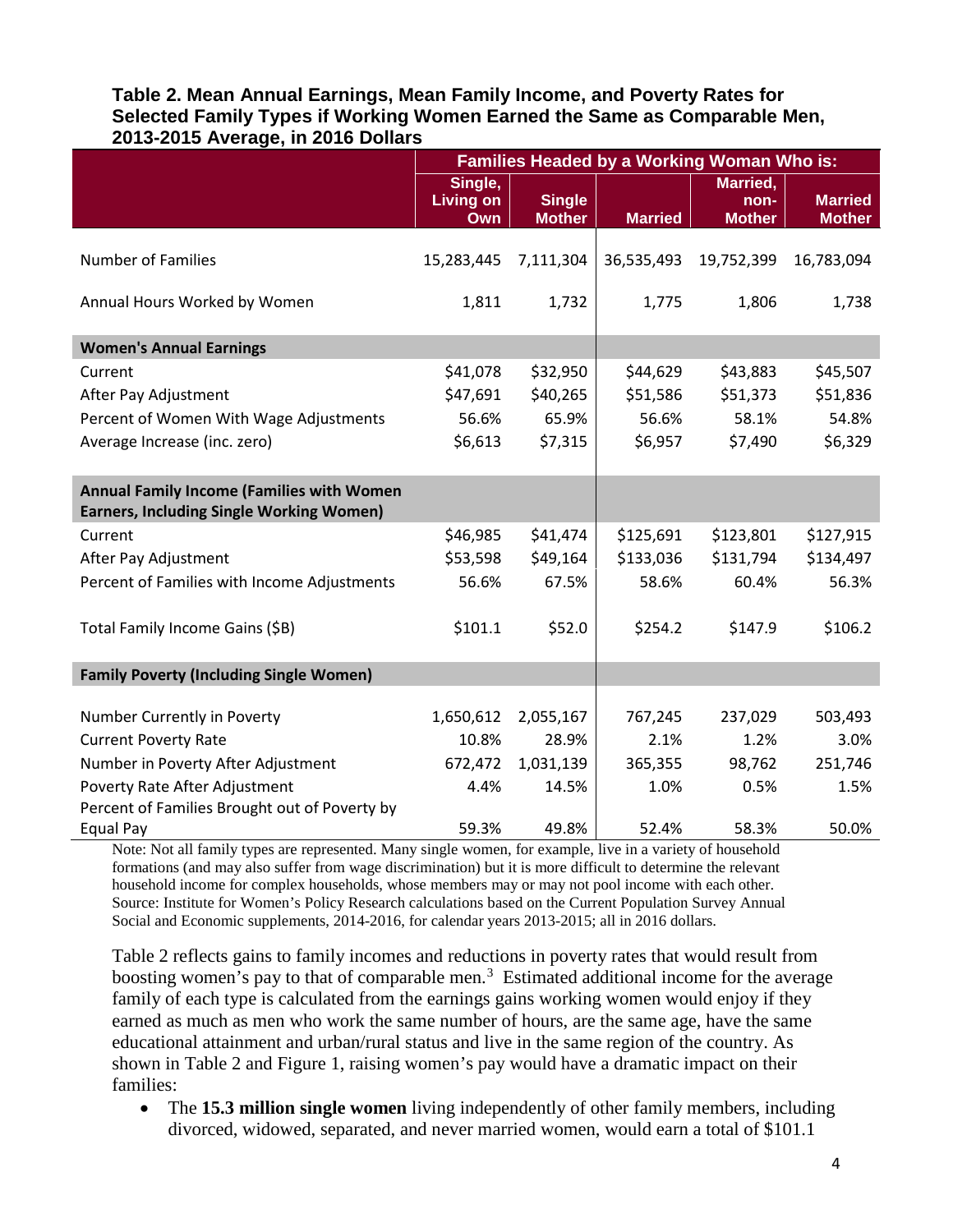#### **Table 2. Mean Annual Earnings, Mean Family Income, and Poverty Rates for Selected Family Types if Working Women Earned the Same as Comparable Men, 2013-2015 Average, in 2016 Dollars**

|                                                                                                     | Families Headed by a Working Woman Who is: |                                |                |                                   |                                 |
|-----------------------------------------------------------------------------------------------------|--------------------------------------------|--------------------------------|----------------|-----------------------------------|---------------------------------|
|                                                                                                     | Single,<br><b>Living on</b><br>Own         | <b>Single</b><br><b>Mother</b> | <b>Married</b> | Married,<br>non-<br><b>Mother</b> | <b>Married</b><br><b>Mother</b> |
| <b>Number of Families</b>                                                                           | 15,283,445                                 | 7,111,304                      | 36,535,493     | 19,752,399                        | 16,783,094                      |
| Annual Hours Worked by Women                                                                        | 1,811                                      | 1,732                          | 1,775          | 1,806                             | 1,738                           |
| <b>Women's Annual Earnings</b>                                                                      |                                            |                                |                |                                   |                                 |
| Current                                                                                             | \$41,078                                   | \$32,950                       | \$44,629       | \$43,883                          | \$45,507                        |
| After Pay Adjustment                                                                                | \$47,691                                   | \$40,265                       | \$51,586       | \$51,373                          | \$51,836                        |
| Percent of Women With Wage Adjustments                                                              | 56.6%                                      | 65.9%                          | 56.6%          | 58.1%                             | 54.8%                           |
| Average Increase (inc. zero)                                                                        | \$6,613                                    | \$7,315                        | \$6,957        | \$7,490                           | \$6,329                         |
| <b>Annual Family Income (Families with Women</b><br><b>Earners, Including Single Working Women)</b> |                                            |                                |                |                                   |                                 |
| Current                                                                                             | \$46,985                                   | \$41,474                       | \$125,691      | \$123,801                         | \$127,915                       |
| After Pay Adjustment                                                                                | \$53,598                                   | \$49,164                       | \$133,036      | \$131,794                         | \$134,497                       |
| Percent of Families with Income Adjustments                                                         | 56.6%                                      | 67.5%                          | 58.6%          | 60.4%                             | 56.3%                           |
| Total Family Income Gains (\$B)                                                                     | \$101.1                                    | \$52.0                         | \$254.2        | \$147.9                           | \$106.2                         |
| <b>Family Poverty (Including Single Women)</b>                                                      |                                            |                                |                |                                   |                                 |
|                                                                                                     |                                            |                                |                |                                   |                                 |
| Number Currently in Poverty                                                                         | 1,650,612                                  | 2,055,167                      | 767,245        | 237,029                           | 503,493                         |
| <b>Current Poverty Rate</b>                                                                         | 10.8%                                      | 28.9%                          | 2.1%           | 1.2%                              | 3.0%                            |
| Number in Poverty After Adjustment                                                                  | 672,472                                    | 1,031,139                      | 365,355        | 98,762                            | 251,746                         |
| Poverty Rate After Adjustment                                                                       | 4.4%                                       | 14.5%                          | 1.0%           | 0.5%                              | 1.5%                            |
| Percent of Families Brought out of Poverty by<br>Equal Pay                                          | 59.3%                                      | 49.8%                          | 52.4%          | 58.3%                             | 50.0%                           |

Note: Not all family types are represented. Many single women, for example, live in a variety of household formations (and may also suffer from wage discrimination) but it is more difficult to determine the relevant household income for complex households, whose members may or may not pool income with each other. Source: Institute for Women's Policy Research calculations based on the Current Population Survey Annual Social and Economic supplements, 2014-2016, for calendar years 2013-2015; all in 2016 dollars.

Table 2 reflects gains to family incomes and reductions in poverty rates that would result from boosting women's pay to that of comparable men.<sup>[3](#page-6-2)</sup> Estimated additional income for the average family of each type is calculated from the earnings gains working women would enjoy if they earned as much as men who work the same number of hours, are the same age, have the same educational attainment and urban/rural status and live in the same region of the country. As shown in Table 2 and Figure 1, raising women's pay would have a dramatic impact on their families:

• The **15.3 million single women** living independently of other family members, including divorced, widowed, separated, and never married women, would earn a total of \$101.1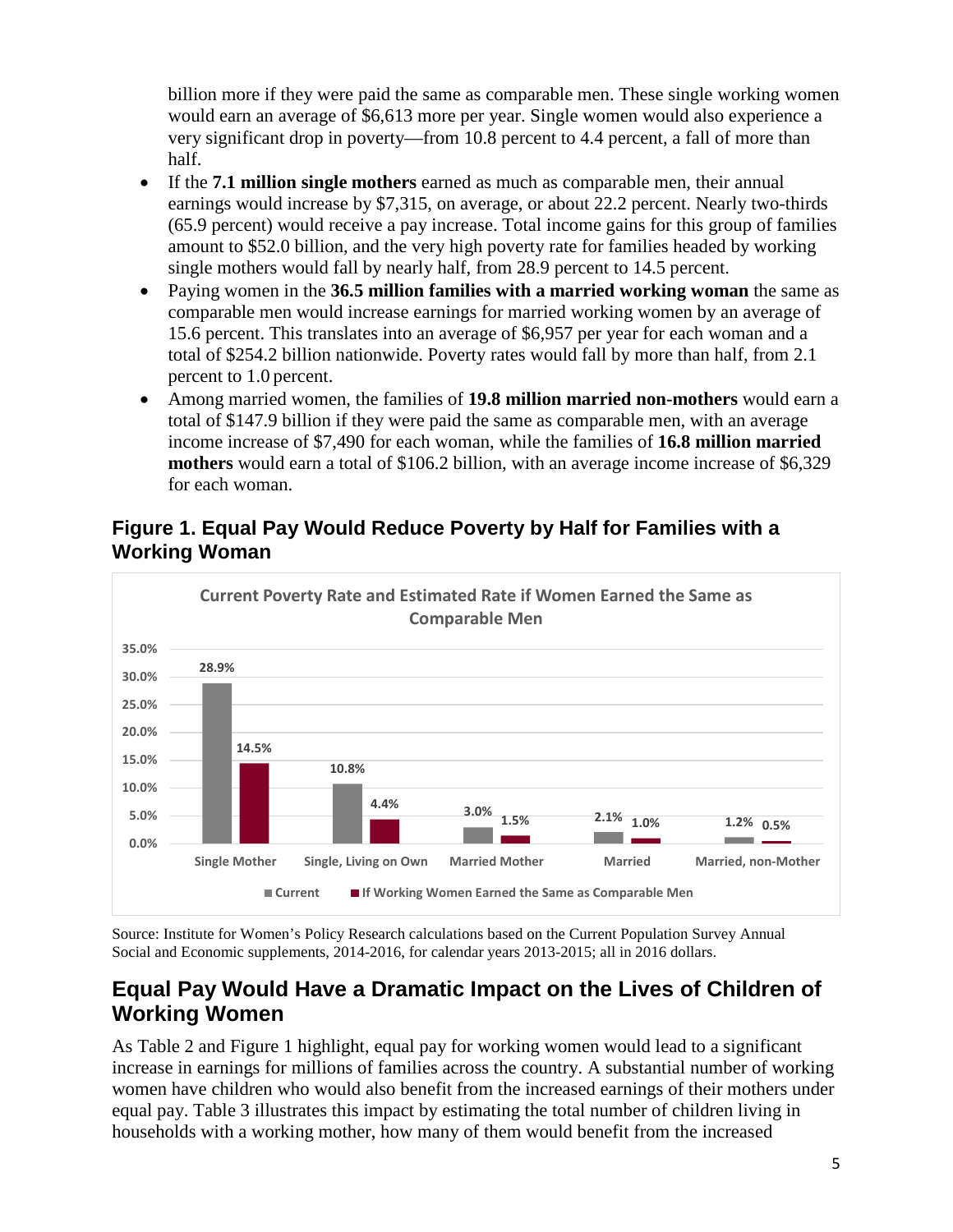billion more if they were paid the same as comparable men. These single working women would earn an average of \$6,613 more per year. Single women would also experience a very significant drop in poverty—from 10.8 percent to 4.4 percent, a fall of more than half.

- If the **7.1 million single mothers** earned as much as comparable men, their annual earnings would increase by \$7,315, on average, or about 22.2 percent. Nearly two-thirds (65.9 percent) would receive a pay increase. Total income gains for this group of families amount to \$52.0 billion, and the very high poverty rate for families headed by working single mothers would fall by nearly half, from 28.9 percent to 14.5 percent.
- Paying women in the **36.5 million families with a married working woman** the same as comparable men would increase earnings for married working women by an average of 15.6 percent. This translates into an average of \$6,957 per year for each woman and a total of \$254.2 billion nationwide. Poverty rates would fall by more than half, from 2.1 percent to 1.0 percent.
- Among married women, the families of **19.8 million married non-mothers** would earn a total of \$147.9 billion if they were paid the same as comparable men, with an average income increase of \$7,490 for each woman, while the families of **16.8 million married mothers** would earn a total of \$106.2 billion, with an average income increase of \$6,329 for each woman.



## **Figure 1. Equal Pay Would Reduce Poverty by Half for Families with a Working Woman**

Source: Institute for Women's Policy Research calculations based on the Current Population Survey Annual Social and Economic supplements, 2014-2016, for calendar years 2013-2015; all in 2016 dollars.

## **Equal Pay Would Have a Dramatic Impact on the Lives of Children of Working Women**

As Table 2 and Figure 1 highlight, equal pay for working women would lead to a significant increase in earnings for millions of families across the country. A substantial number of working women have children who would also benefit from the increased earnings of their mothers under equal pay. Table 3 illustrates this impact by estimating the total number of children living in households with a working mother, how many of them would benefit from the increased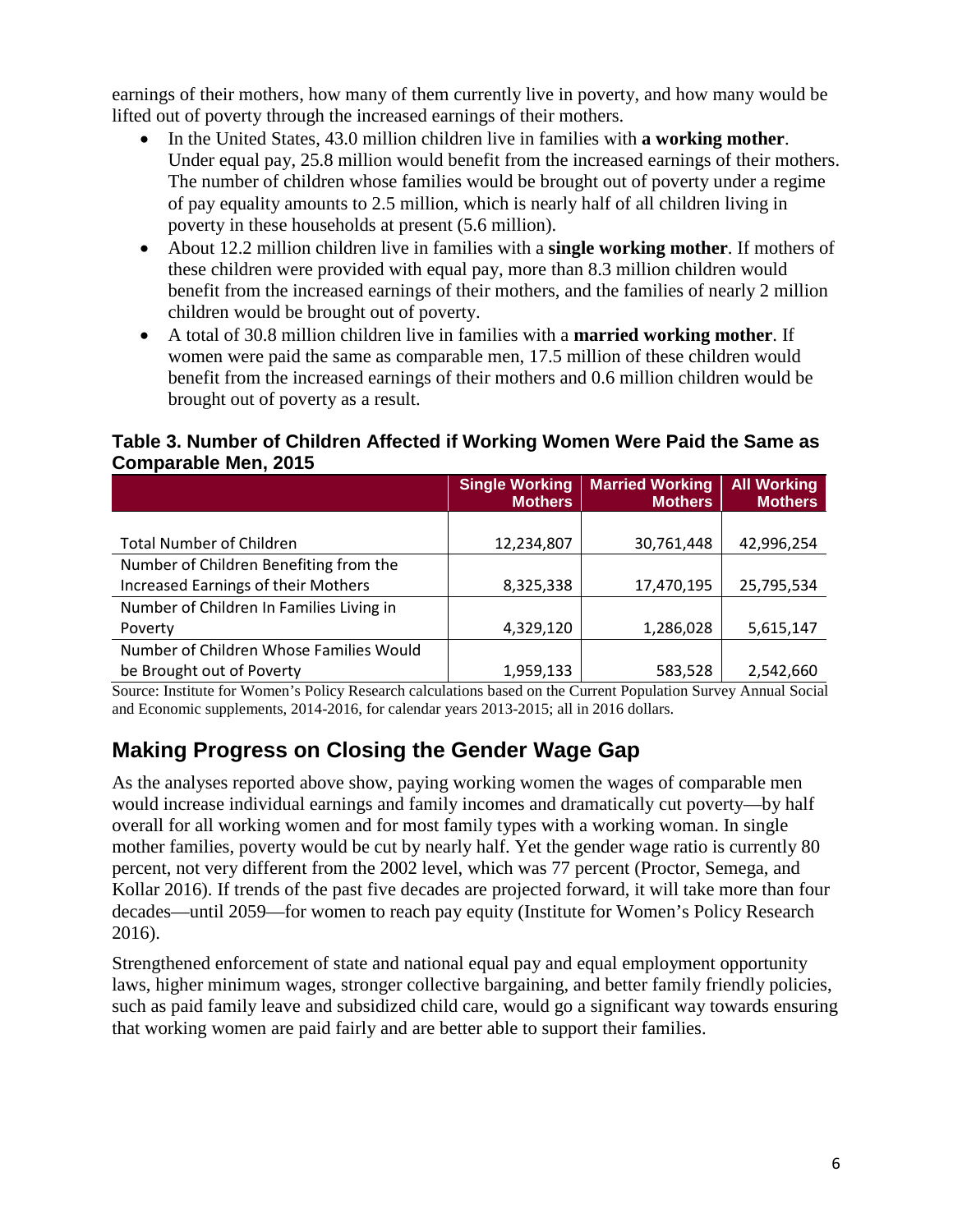earnings of their mothers, how many of them currently live in poverty, and how many would be lifted out of poverty through the increased earnings of their mothers.

- In the United States, 43.0 million children live in families with **a working mother**. Under equal pay, 25.8 million would benefit from the increased earnings of their mothers. The number of children whose families would be brought out of poverty under a regime of pay equality amounts to 2.5 million, which is nearly half of all children living in poverty in these households at present (5.6 million).
- About 12.2 million children live in families with a **single working mother**. If mothers of these children were provided with equal pay, more than 8.3 million children would benefit from the increased earnings of their mothers, and the families of nearly 2 million children would be brought out of poverty.
- A total of 30.8 million children live in families with a **married working mother**. If women were paid the same as comparable men, 17.5 million of these children would benefit from the increased earnings of their mothers and 0.6 million children would be brought out of poverty as a result.

#### **Table 3. Number of Children Affected if Working Women Were Paid the Same as Comparable Men, 2015**

|                                          | <b>Single Working</b><br><b>Mothers</b> | <b>Married Working</b><br><b>Mothers</b> | <b>All Working</b><br><b>Mothers</b> |
|------------------------------------------|-----------------------------------------|------------------------------------------|--------------------------------------|
|                                          |                                         |                                          |                                      |
| <b>Total Number of Children</b>          | 12,234,807                              | 30,761,448                               | 42,996,254                           |
| Number of Children Benefiting from the   |                                         |                                          |                                      |
| Increased Earnings of their Mothers      | 8,325,338                               | 17,470,195                               | 25,795,534                           |
| Number of Children In Families Living in |                                         |                                          |                                      |
| Poverty                                  | 4,329,120                               | 1,286,028                                | 5,615,147                            |
| Number of Children Whose Families Would  |                                         |                                          |                                      |
| be Brought out of Poverty                | 1,959,133                               | 583,528                                  | 2,542,660                            |

Source: Institute for Women's Policy Research calculations based on the Current Population Survey Annual Social and Economic supplements, 2014-2016, for calendar years 2013-2015; all in 2016 dollars.

# **Making Progress on Closing the Gender Wage Gap**

As the analyses reported above show, paying working women the wages of comparable men would increase individual earnings and family incomes and dramatically cut poverty—by half overall for all working women and for most family types with a working woman. In single mother families, poverty would be cut by nearly half. Yet the gender wage ratio is currently 80 percent, not very different from the 2002 level, which was 77 percent (Proctor, Semega, and Kollar 2016). If trends of the past five decades are projected forward, it will take more than four decades—until 2059—for women to reach pay equity (Institute for Women's Policy Research 2016).

Strengthened enforcement of state and national equal pay and equal employment opportunity laws, higher minimum wages, stronger collective bargaining, and better family friendly policies, such as paid family leave and subsidized child care, would go a significant way towards ensuring that working women are paid fairly and are better able to support their families.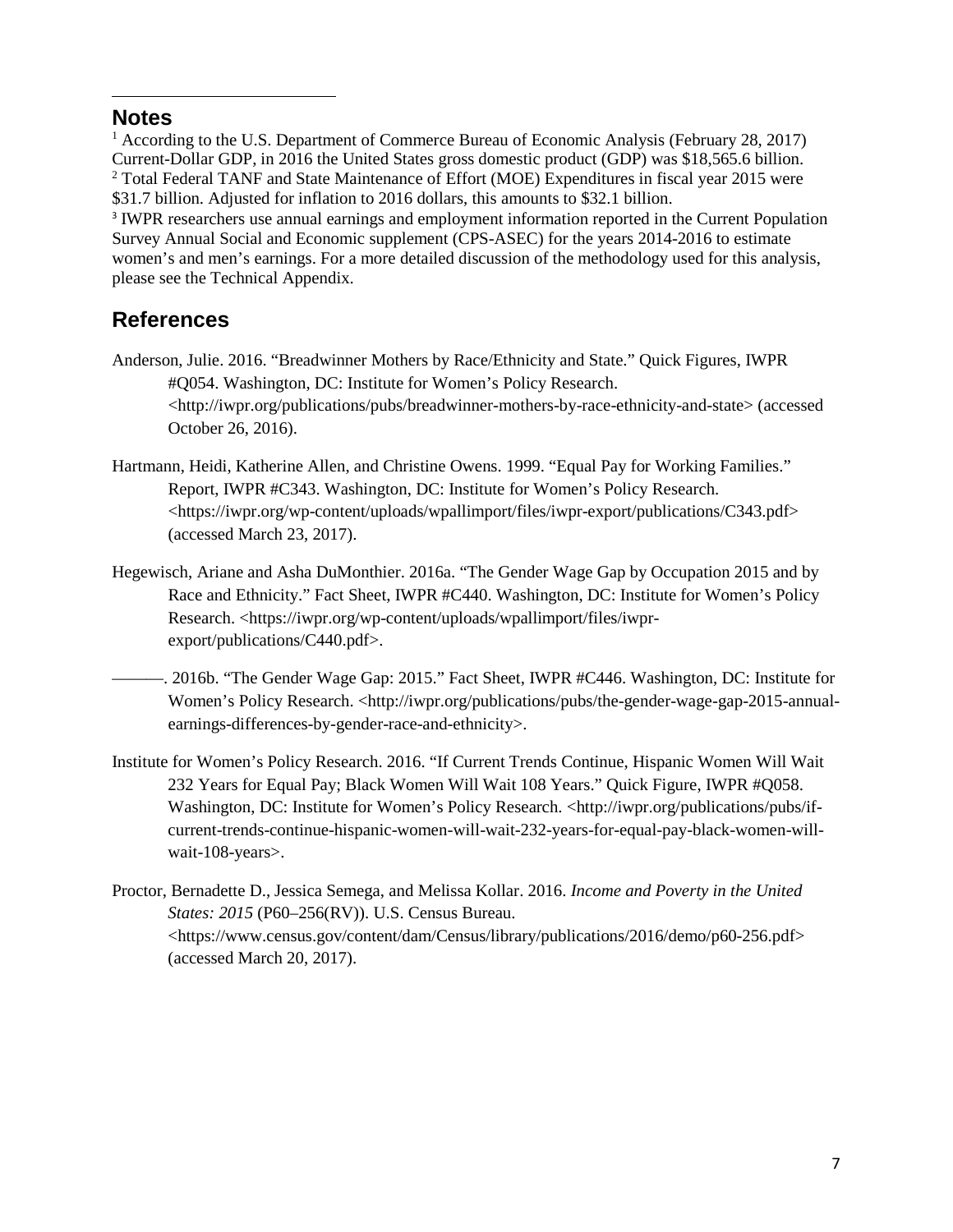#### <span id="page-6-0"></span>**Notes**

 $\overline{\phantom{a}}$ 

<span id="page-6-1"></span><sup>1</sup> According to the U.S. Department of Commerce Bureau of Economic Analysis (February 28, 2017) Current-Dollar GDP, in 2016 the United States gross domestic product (GDP) was \$18,565.6 billion. <sup>2</sup> Total Federal TANF and State Maintenance of Effort (MOE) Expenditures in fiscal year 2015 were \$31.7 billion. Adjusted for inflation to 2016 dollars, this amounts to \$32.1 billion.

<span id="page-6-2"></span><sup>3</sup> IWPR researchers use annual earnings and employment information reported in the Current Population Survey Annual Social and Economic supplement (CPS-ASEC) for the years 2014-2016 to estimate women's and men's earnings. For a more detailed discussion of the methodology used for this analysis, please see the Technical Appendix.

# **References**

- Anderson, Julie. 2016. "Breadwinner Mothers by Race/Ethnicity and State." Quick Figures, IWPR #Q054. Washington, DC: Institute for Women's Policy Research. <http://iwpr.org/publications/pubs/breadwinner-mothers-by-race-ethnicity-and-state> (accessed October 26, 2016).
- Hartmann, Heidi, Katherine Allen, and Christine Owens. 1999. "Equal Pay for Working Families." Report, IWPR #C343. Washington, DC: Institute for Women's Policy Research. <https://iwpr.org/wp-content/uploads/wpallimport/files/iwpr-export/publications/C343.pdf> (accessed March 23, 2017).
- Hegewisch, Ariane and Asha DuMonthier. 2016a. "The Gender Wage Gap by Occupation 2015 and by Race and Ethnicity." Fact Sheet, IWPR #C440. Washington, DC: Institute for Women's Policy Research. <https://iwpr.org/wp-content/uploads/wpallimport/files/iwprexport/publications/C440.pdf>.
	- ———. 2016b. "The Gender Wage Gap: 2015." Fact Sheet, IWPR #C446. Washington, DC: Institute for Women's Policy Research. <http://iwpr.org/publications/pubs/the-gender-wage-gap-2015-annualearnings-differences-by-gender-race-and-ethnicity>.
- Institute for Women's Policy Research. 2016. "If Current Trends Continue, Hispanic Women Will Wait 232 Years for Equal Pay; Black Women Will Wait 108 Years." Quick Figure, IWPR #Q058. Washington, DC: Institute for Women's Policy Research. <http://iwpr.org/publications/pubs/ifcurrent-trends-continue-hispanic-women-will-wait-232-years-for-equal-pay-black-women-willwait-108-years>.
- Proctor, Bernadette D., Jessica Semega, and Melissa Kollar. 2016. *Income and Poverty in the United States: 2015* (P60–256(RV)). U.S. Census Bureau. <https://www.census.gov/content/dam/Census/library/publications/2016/demo/p60-256.pdf> (accessed March 20, 2017).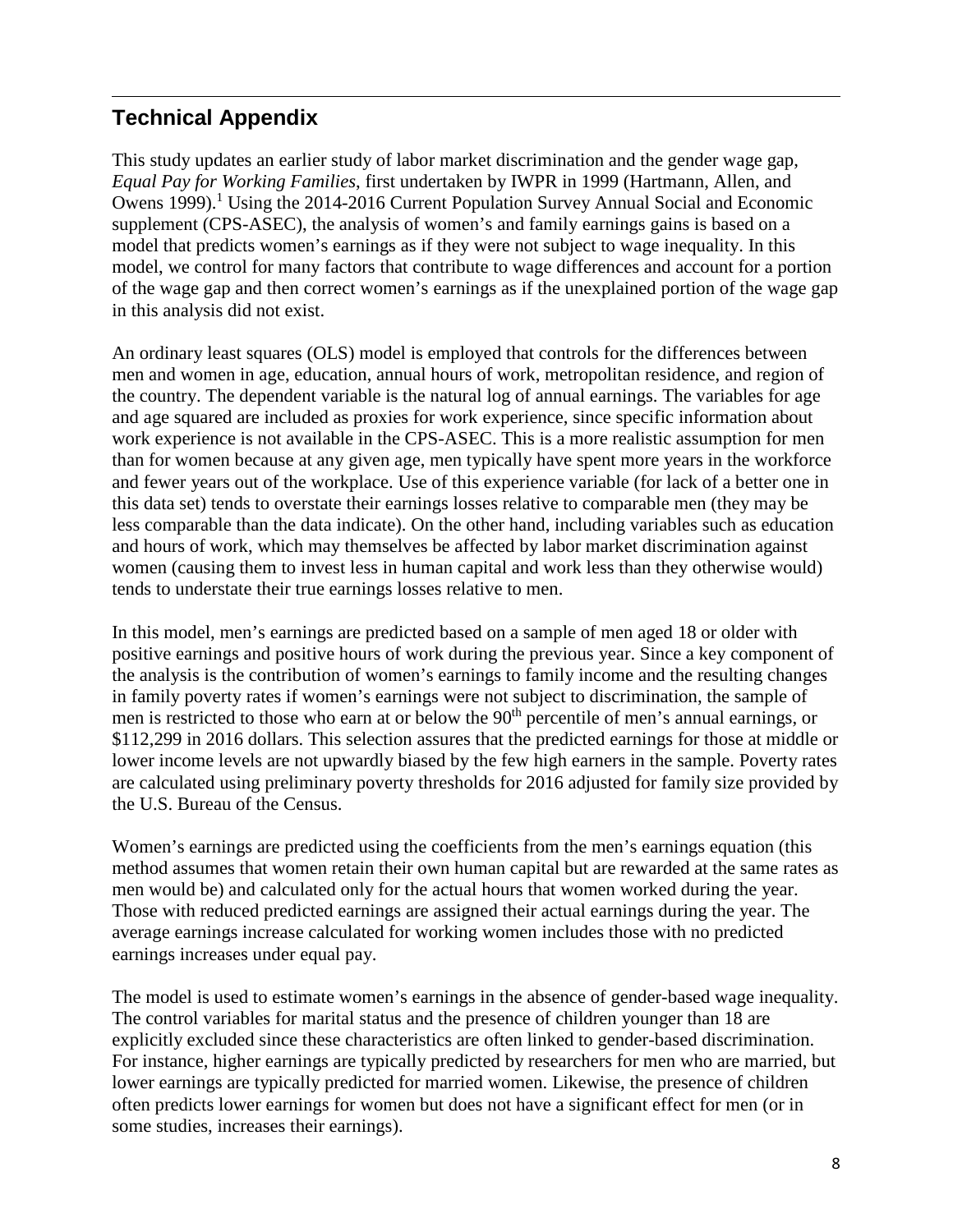#### $\overline{\phantom{a}}$ **Technical Appendix**

This study updates an earlier study of labor market discrimination and the gender wage gap, *Equal Pay for Working Families*, first undertaken by IWPR in 1999 (Hartmann, Allen, and Owens 1999).<sup>1</sup> Using the 2014-2016 Current Population Survey Annual Social and Economic supplement (CPS-ASEC), the analysis of women's and family earnings gains is based on a model that predicts women's earnings as if they were not subject to wage inequality. In this model, we control for many factors that contribute to wage differences and account for a portion of the wage gap and then correct women's earnings as if the unexplained portion of the wage gap in this analysis did not exist.

An ordinary least squares (OLS) model is employed that controls for the differences between men and women in age, education, annual hours of work, metropolitan residence, and region of the country. The dependent variable is the natural log of annual earnings. The variables for age and age squared are included as proxies for work experience, since specific information about work experience is not available in the CPS-ASEC. This is a more realistic assumption for men than for women because at any given age, men typically have spent more years in the workforce and fewer years out of the workplace. Use of this experience variable (for lack of a better one in this data set) tends to overstate their earnings losses relative to comparable men (they may be less comparable than the data indicate). On the other hand, including variables such as education and hours of work, which may themselves be affected by labor market discrimination against women (causing them to invest less in human capital and work less than they otherwise would) tends to understate their true earnings losses relative to men.

In this model, men's earnings are predicted based on a sample of men aged 18 or older with positive earnings and positive hours of work during the previous year. Since a key component of the analysis is the contribution of women's earnings to family income and the resulting changes in family poverty rates if women's earnings were not subject to discrimination, the sample of men is restricted to those who earn at or below the 90<sup>th</sup> percentile of men's annual earnings, or \$112,299 in 2016 dollars. This selection assures that the predicted earnings for those at middle or lower income levels are not upwardly biased by the few high earners in the sample. Poverty rates are calculated using preliminary poverty thresholds for 2016 adjusted for family size provided by the U.S. Bureau of the Census.

Women's earnings are predicted using the coefficients from the men's earnings equation (this method assumes that women retain their own human capital but are rewarded at the same rates as men would be) and calculated only for the actual hours that women worked during the year. Those with reduced predicted earnings are assigned their actual earnings during the year. The average earnings increase calculated for working women includes those with no predicted earnings increases under equal pay.

The model is used to estimate women's earnings in the absence of gender-based wage inequality. The control variables for marital status and the presence of children younger than 18 are explicitly excluded since these characteristics are often linked to gender-based discrimination. For instance, higher earnings are typically predicted by researchers for men who are married, but lower earnings are typically predicted for married women. Likewise, the presence of children often predicts lower earnings for women but does not have a significant effect for men (or in some studies, increases their earnings).